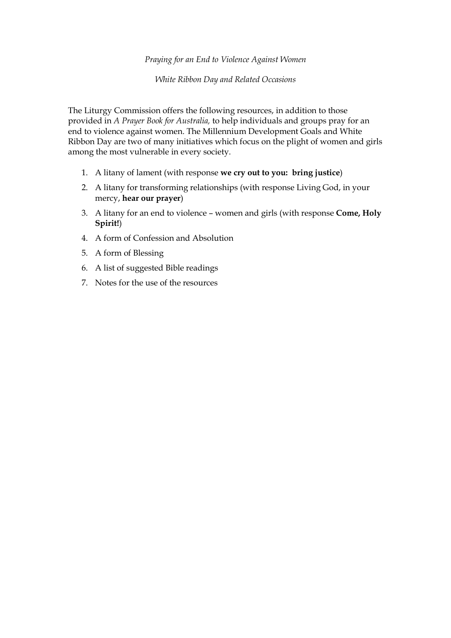### *Praying for an End to Violence Against Women*

*White Ribbon Day and Related Occasions*

The Liturgy Commission offers the following resources, in addition to those provided in *A Prayer Book for Australia,* to help individuals and groups pray for an end to violence against women. The Millennium Development Goals and White Ribbon Day are two of many initiatives which focus on the plight of women and girls among the most vulnerable in every society.

- 1. A litany of lament (with response **we cry out to you: bring justice**)
- 2. A litany for transforming relationships (with response Living God, in your mercy, **hear our prayer**)
- 3. A litany for an end to violence women and girls (with response **Come, Holy Spirit!**)
- 4. A form of Confession and Absolution
- 5. A form of Blessing
- 6. A list of suggested Bible readings
- 7. Notes for the use of the resources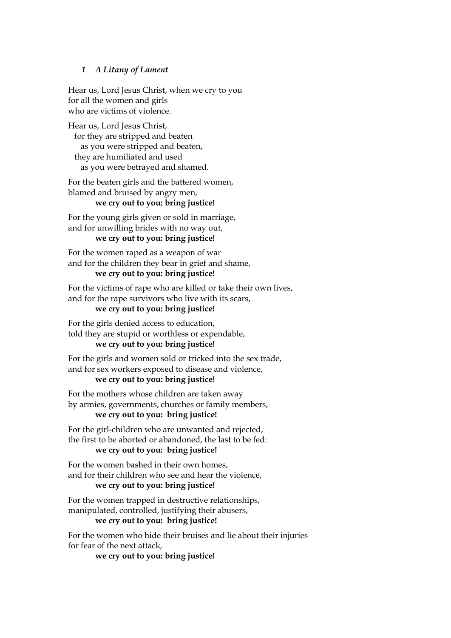### *1 A Litany of Lament*

Hear us, Lord Jesus Christ, when we cry to you for all the women and girls who are victims of violence.

Hear us, Lord Jesus Christ, for they are stripped and beaten as you were stripped and beaten, they are humiliated and used as you were betrayed and shamed.

For the beaten girls and the battered women, blamed and bruised by angry men,

# **we cry out to you: bring justice!**

For the young girls given or sold in marriage, and for unwilling brides with no way out,

# **we cry out to you: bring justice!**

For the women raped as a weapon of war and for the children they bear in grief and shame, **we cry out to you: bring justice!**

# For the victims of rape who are killed or take their own lives, and for the rape survivors who live with its scars,

# **we cry out to you: bring justice!**

For the girls denied access to education, told they are stupid or worthless or expendable, **we cry out to you: bring justice!**

### For the girls and women sold or tricked into the sex trade, and for sex workers exposed to disease and violence, **we cry out to you: bring justice!**

For the mothers whose children are taken away by armies, governments, churches or family members,

# **we cry out to you: bring justice!**

For the girl-children who are unwanted and rejected, the first to be aborted or abandoned, the last to be fed: **we cry out to you: bring justice!**

### For the women bashed in their own homes, and for their children who see and hear the violence, **we cry out to you: bring justice!**

For the women trapped in destructive relationships, manipulated, controlled, justifying their abusers,

### **we cry out to you: bring justice!**

For the women who hide their bruises and lie about their injuries for fear of the next attack,

**we cry out to you: bring justice!**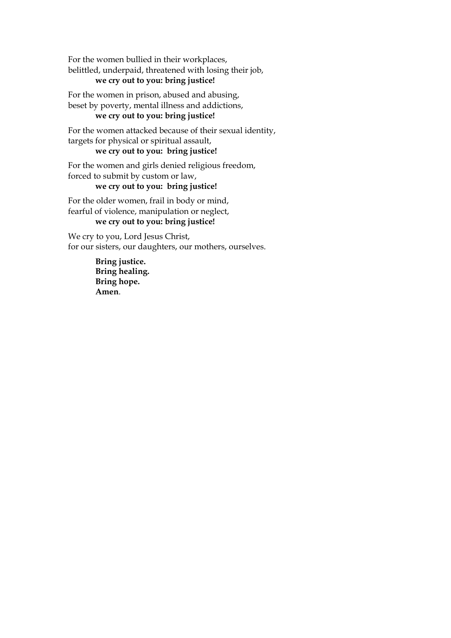For the women bullied in their workplaces, belittled, underpaid, threatened with losing their job, **we cry out to you: bring justice!**

For the women in prison, abused and abusing, beset by poverty, mental illness and addictions,

# **we cry out to you: bring justice!**

For the women attacked because of their sexual identity, targets for physical or spiritual assault,

**we cry out to you: bring justice!**

For the women and girls denied religious freedom, forced to submit by custom or law,

# **we cry out to you: bring justice!**

For the older women, frail in body or mind, fearful of violence, manipulation or neglect,

# **we cry out to you: bring justice!**

We cry to you, Lord Jesus Christ, for our sisters, our daughters, our mothers, ourselves.

> **Bring justice. Bring healing. Bring hope. Amen**.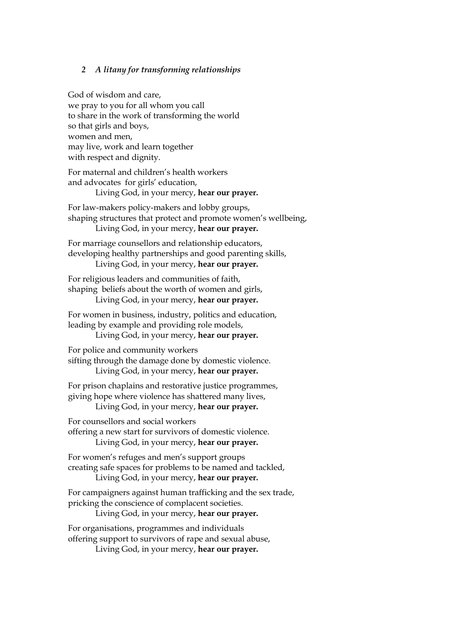### *2 A litany for transforming relationships*

God of wisdom and care, we pray to you for all whom you call to share in the work of transforming the world so that girls and boys, women and men, may live, work and learn together with respect and dignity.

For maternal and children's health workers and advocates for girls' education, Living God, in your mercy, **hear our prayer.**

For law-makers policy-makers and lobby groups, shaping structures that protect and promote women's wellbeing, Living God, in your mercy, **hear our prayer.**

For marriage counsellors and relationship educators, developing healthy partnerships and good parenting skills, Living God, in your mercy, **hear our prayer.**

For religious leaders and communities of faith, shaping beliefs about the worth of women and girls, Living God, in your mercy, **hear our prayer.**

For women in business, industry, politics and education, leading by example and providing role models,

Living God, in your mercy, **hear our prayer.**

For police and community workers sifting through the damage done by domestic violence. Living God, in your mercy, **hear our prayer.**

For prison chaplains and restorative justice programmes, giving hope where violence has shattered many lives, Living God, in your mercy, **hear our prayer.**

For counsellors and social workers offering a new start for survivors of domestic violence.

Living God, in your mercy, **hear our prayer.**

For women's refuges and men's support groups creating safe spaces for problems to be named and tackled, Living God, in your mercy, **hear our prayer.**

For campaigners against human trafficking and the sex trade, pricking the conscience of complacent societies.

Living God, in your mercy, **hear our prayer.**

For organisations, programmes and individuals offering support to survivors of rape and sexual abuse,

Living God, in your mercy, **hear our prayer.**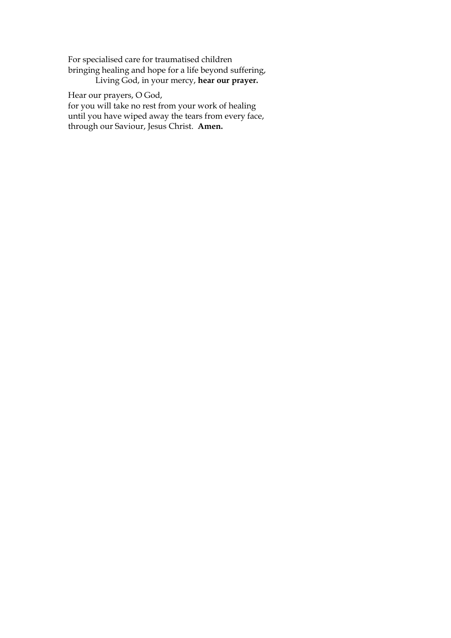For specialised care for traumatised children bringing healing and hope for a life beyond suffering, Living God, in your mercy, **hear our prayer.**

Hear our prayers, O God,

for you will take no rest from your work of healing until you have wiped away the tears from every face, through our Saviour, Jesus Christ. **Amen.**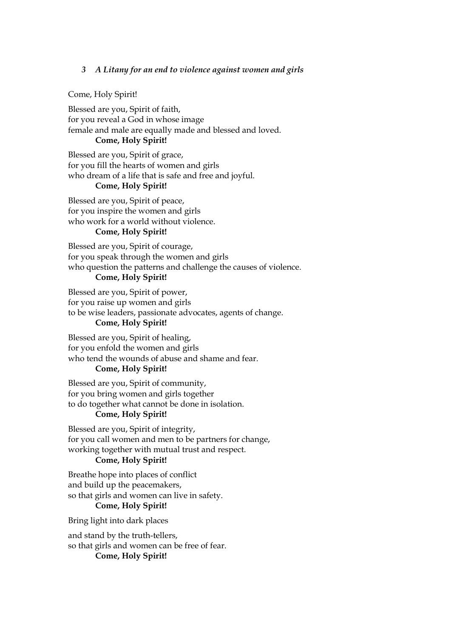### *3 A Litany for an end to violence against women and girls*

#### Come, Holy Spirit!

Blessed are you, Spirit of faith, for you reveal a God in whose image female and male are equally made and blessed and loved.

### **Come, Holy Spirit!**

Blessed are you, Spirit of grace, for you fill the hearts of women and girls who dream of a life that is safe and free and joyful.

# **Come, Holy Spirit!**

Blessed are you, Spirit of peace, for you inspire the women and girls who work for a world without violence.

# **Come, Holy Spirit!**

Blessed are you, Spirit of courage, for you speak through the women and girls who question the patterns and challenge the causes of violence.

# **Come, Holy Spirit!**

Blessed are you, Spirit of power, for you raise up women and girls to be wise leaders, passionate advocates, agents of change.

### **Come, Holy Spirit!**

Blessed are you, Spirit of healing, for you enfold the women and girls who tend the wounds of abuse and shame and fear.

# **Come, Holy Spirit!**

Blessed are you, Spirit of community, for you bring women and girls together to do together what cannot be done in isolation.

# **Come, Holy Spirit!**

Blessed are you, Spirit of integrity, for you call women and men to be partners for change, working together with mutual trust and respect.

# **Come, Holy Spirit!**

Breathe hope into places of conflict and build up the peacemakers, so that girls and women can live in safety. **Come, Holy Spirit!**

Bring light into dark places

and stand by the truth-tellers, so that girls and women can be free of fear. **Come, Holy Spirit!**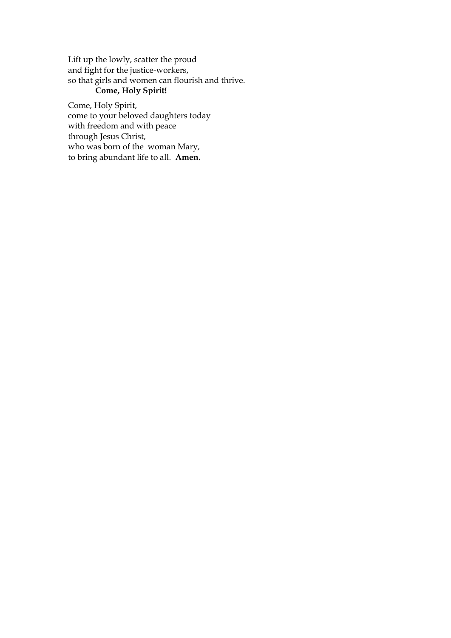Lift up the lowly, scatter the proud and fight for the justice-workers, so that girls and women can flourish and thrive.

# **Come, Holy Spirit!**

Come, Holy Spirit, come to your beloved daughters today with freedom and with peace through Jesus Christ, who was born of the woman Mary, to bring abundant life to all. **Amen.**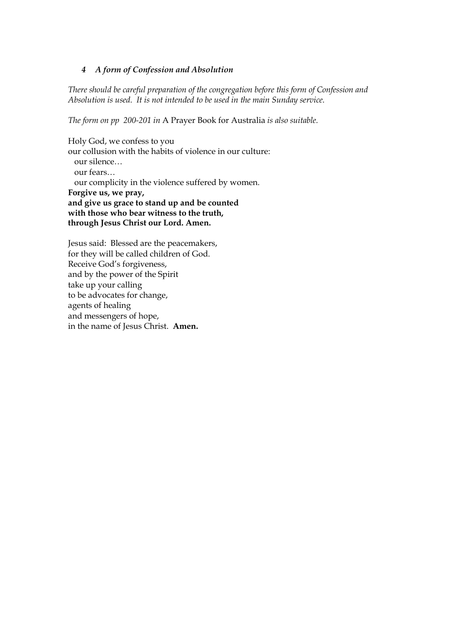### *4 A form of Confession and Absolution*

*There should be careful preparation of the congregation before this form of Confession and Absolution is used. It is not intended to be used in the main Sunday service.*

*The form on pp 200-201 in* A Prayer Book for Australia *is also suitable.*

Holy God, we confess to you our collusion with the habits of violence in our culture: our silence… our fears… our complicity in the violence suffered by women. **Forgive us, we pray, and give us grace to stand up and be counted with those who bear witness to the truth, through Jesus Christ our Lord. Amen.**

Jesus said: Blessed are the peacemakers, for they will be called children of God. Receive God's forgiveness, and by the power of the Spirit take up your calling to be advocates for change, agents of healing and messengers of hope, in the name of Jesus Christ. **Amen.**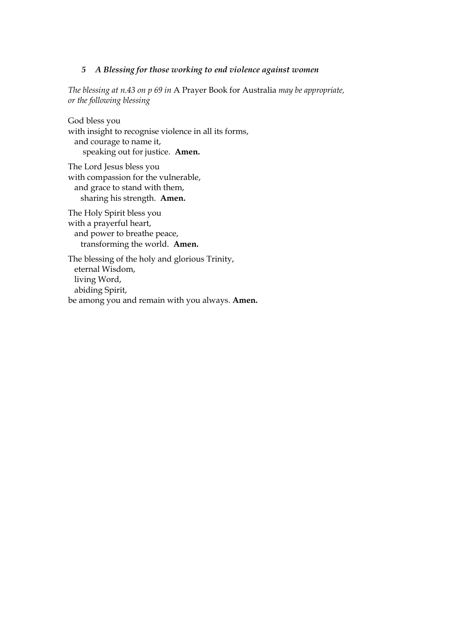#### *5 A Blessing for those working to end violence against women*

*The blessing at n.43 on p 69 in* A Prayer Book for Australia *may be appropriate, or the following blessing*

God bless you with insight to recognise violence in all its forms, and courage to name it, speaking out for justice. **Amen.**

The Lord Jesus bless you with compassion for the vulnerable, and grace to stand with them, sharing his strength. **Amen.**

The Holy Spirit bless you with a prayerful heart, and power to breathe peace, transforming the world. **Amen.** 

The blessing of the holy and glorious Trinity, eternal Wisdom, living Word, abiding Spirit, be among you and remain with you always. **Amen.**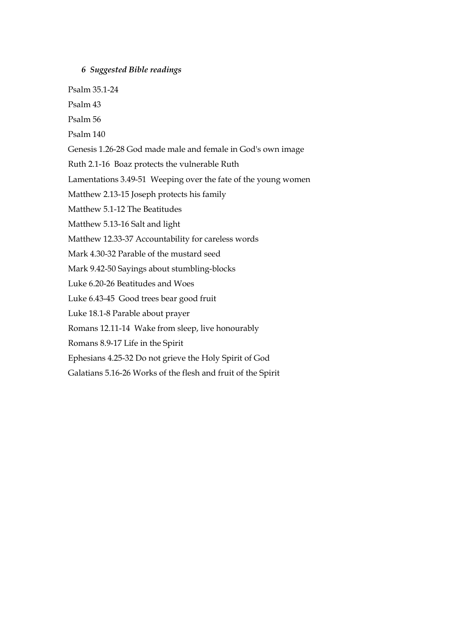### *6 Suggested Bible readings*

Psalm 35.1-24

Psalm 43

Psalm 56

Psalm 140

Genesis 1.26-28 God made male and female in God's own image

Ruth 2.1-16 Boaz protects the vulnerable Ruth

Lamentations 3.49-51 Weeping over the fate of the young women

Matthew 2.13-15 Joseph protects his family

Matthew 5.1-12 The Beatitudes

Matthew 5.13-16 Salt and light

Matthew 12.33-37 Accountability for careless words

Mark 4.30-32 Parable of the mustard seed

Mark 9.42-50 Sayings about stumbling-blocks

Luke 6.20-26 Beatitudes and Woes

Luke 6.43-45 Good trees bear good fruit

Luke 18.1-8 Parable about prayer

Romans 12.11-14 Wake from sleep, live honourably

Romans 8.9-17 Life in the Spirit

Ephesians 4.25-32 Do not grieve the Holy Spirit of God

Galatians 5.16-26 Works of the flesh and fruit of the Spirit